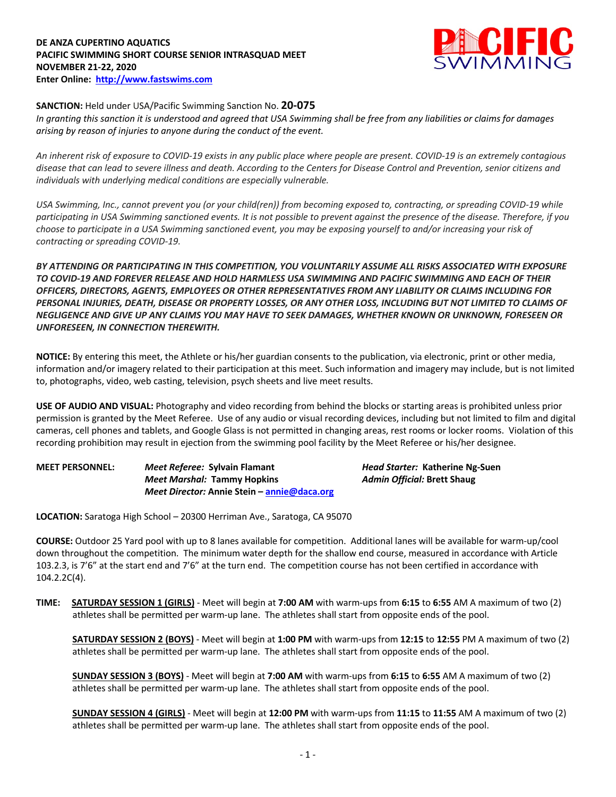## **DE ANZA CUPERTINO AQUATICS PACIFIC SWIMMING SHORT COURSE SENIOR INTRASQUAD MEET NOVEMBER 21-22, 2020 Enter Online: http://www.fastswims.com**



## **SANCTION:** Held under USA/Pacific Swimming Sanction No. **20-075**

*In granting this sanction it is understood and agreed that USA Swimming shall be free from any liabilities or claims for damages arising by reason of injuries to anyone during the conduct of the event.* 

*An inherent risk of exposure to COVID-19 exists in any public place where people are present. COVID-19 is an extremely contagious disease that can lead to severe illness and death. According to the Centers for Disease Control and Prevention, senior citizens and individuals with underlying medical conditions are especially vulnerable.*

*USA Swimming, Inc., cannot prevent you (or your child(ren)) from becoming exposed to, contracting, or spreading COVID-19 while participating in USA Swimming sanctioned events. It is not possible to prevent against the presence of the disease. Therefore, if you choose to participate in a USA Swimming sanctioned event, you may be exposing yourself to and/or increasing your risk of contracting or spreading COVID-19.*

*BY ATTENDING OR PARTICIPATING IN THIS COMPETITION, YOU VOLUNTARILY ASSUME ALL RISKS ASSOCIATED WITH EXPOSURE TO COVID-19 AND FOREVER RELEASE AND HOLD HARMLESS USA SWIMMING AND PACIFIC SWIMMING AND EACH OF THEIR OFFICERS, DIRECTORS, AGENTS, EMPLOYEES OR OTHER REPRESENTATIVES FROM ANY LIABILITY OR CLAIMS INCLUDING FOR PERSONAL INJURIES, DEATH, DISEASE OR PROPERTY LOSSES, OR ANY OTHER LOSS, INCLUDING BUT NOT LIMITED TO CLAIMS OF NEGLIGENCE AND GIVE UP ANY CLAIMS YOU MAY HAVE TO SEEK DAMAGES, WHETHER KNOWN OR UNKNOWN, FORESEEN OR UNFORESEEN, IN CONNECTION THEREWITH.*

**NOTICE:** By entering this meet, the Athlete or his/her guardian consents to the publication, via electronic, print or other media, information and/or imagery related to their participation at this meet. Such information and imagery may include, but is not limited to, photographs, video, web casting, television, psych sheets and live meet results.

**USE OF AUDIO AND VISUAL:** Photography and video recording from behind the blocks or starting areas is prohibited unless prior permission is granted by the Meet Referee. Use of any audio or visual recording devices, including but not limited to film and digital cameras, cell phones and tablets, and Google Glass is not permitted in changing areas, rest rooms or locker rooms. Violation of this recording prohibition may result in ejection from the swimming pool facility by the Meet Referee or his/her designee.

**MEET PERSONNEL:** *Meet Referee:* **Sylvain Flamant** *Head Starter:* **Katherine Ng-Suen** *Meet Marshal:* **Tammy Hopkins** *Admin Official:* **Brett Shaug** *Meet Director:* **Annie Stein – annie@daca.org**

**LOCATION:** Saratoga High School – 20300 Herriman Ave., Saratoga, CA 95070

**COURSE:** Outdoor 25 Yard pool with up to 8 lanes available for competition. Additional lanes will be available for warm-up/cool down throughout the competition. The minimum water depth for the shallow end course, measured in accordance with Article 103.2.3, is 7'6" at the start end and 7'6" at the turn end. The competition course has not been certified in accordance with 104.2.2C(4).

**TIME: SATURDAY SESSION 1 (GIRLS)** - Meet will begin at **7:00 AM** with warm-ups from **6:15** to **6:55** AM A maximum of two (2) athletes shall be permitted per warm-up lane. The athletes shall start from opposite ends of the pool.

**SATURDAY SESSION 2 (BOYS)** - Meet will begin at **1:00 PM** with warm-ups from **12:15** to **12:55** PM A maximum of two (2) athletes shall be permitted per warm-up lane. The athletes shall start from opposite ends of the pool.

**SUNDAY SESSION 3 (BOYS)** - Meet will begin at **7:00 AM** with warm-ups from **6:15** to **6:55** AM A maximum of two (2) athletes shall be permitted per warm-up lane. The athletes shall start from opposite ends of the pool.

**SUNDAY SESSION 4 (GIRLS)** - Meet will begin at **12:00 PM** with warm-ups from **11:15** to **11:55** AM A maximum of two (2) athletes shall be permitted per warm-up lane. The athletes shall start from opposite ends of the pool.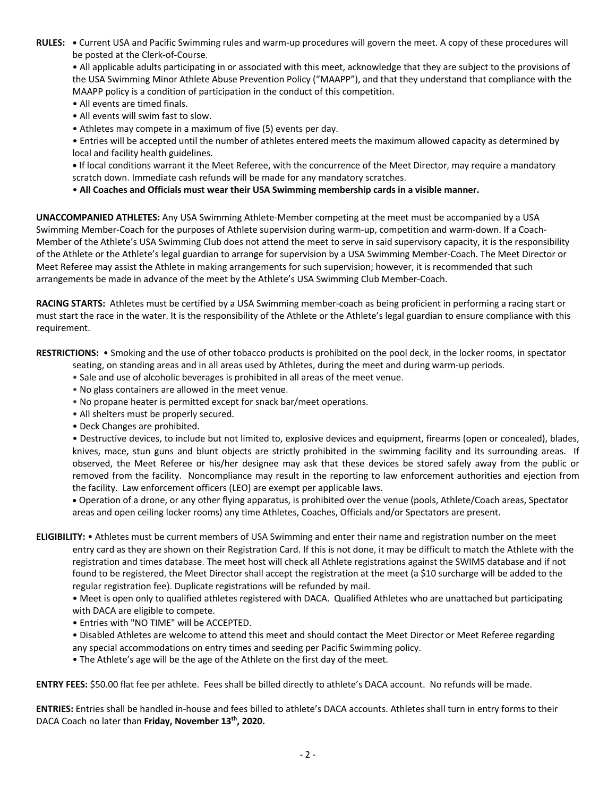**RULES: •** Current USA and Pacific Swimming rules and warm-up procedures will govern the meet. A copy of these procedures will be posted at the Clerk-of-Course.

• All applicable adults participating in or associated with this meet, acknowledge that they are subject to the provisions of the USA Swimming Minor Athlete Abuse Prevention Policy ("MAAPP"), and that they understand that compliance with the MAAPP policy is a condition of participation in the conduct of this competition.

- All events are timed finals.
- All events will swim fast to slow.
- Athletes may compete in a maximum of five (5) events per day.
- Entries will be accepted until the number of athletes entered meets the maximum allowed capacity as determined by local and facility health guidelines.

**•** If local conditions warrant it the Meet Referee, with the concurrence of the Meet Director, may require a mandatory scratch down. Immediate cash refunds will be made for any mandatory scratches.

• **All Coaches and Officials must wear their USA Swimming membership cards in a visible manner.** 

**UNACCOMPANIED ATHLETES:** Any USA Swimming Athlete-Member competing at the meet must be accompanied by a USA Swimming Member-Coach for the purposes of Athlete supervision during warm-up, competition and warm-down. If a Coach-Member of the Athlete's USA Swimming Club does not attend the meet to serve in said supervisory capacity, it is the responsibility of the Athlete or the Athlete's legal guardian to arrange for supervision by a USA Swimming Member-Coach. The Meet Director or Meet Referee may assist the Athlete in making arrangements for such supervision; however, it is recommended that such arrangements be made in advance of the meet by the Athlete's USA Swimming Club Member-Coach.

**RACING STARTS:** Athletes must be certified by a USA Swimming member-coach as being proficient in performing a racing start or must start the race in the water. It is the responsibility of the Athlete or the Athlete's legal guardian to ensure compliance with this requirement.

**RESTRICTIONS:** • Smoking and the use of other tobacco products is prohibited on the pool deck, in the locker rooms, in spectator

- seating, on standing areas and in all areas used by Athletes, during the meet and during warm-up periods.
- Sale and use of alcoholic beverages is prohibited in all areas of the meet venue.
- No glass containers are allowed in the meet venue.
- No propane heater is permitted except for snack bar/meet operations.
- All shelters must be properly secured.
- Deck Changes are prohibited.

• Destructive devices, to include but not limited to, explosive devices and equipment, firearms (open or concealed), blades, knives, mace, stun guns and blunt objects are strictly prohibited in the swimming facility and its surrounding areas. If observed, the Meet Referee or his/her designee may ask that these devices be stored safely away from the public or removed from the facility. Noncompliance may result in the reporting to law enforcement authorities and ejection from the facility. Law enforcement officers (LEO) are exempt per applicable laws.

• Operation of a drone, or any other flying apparatus, is prohibited over the venue (pools, Athlete/Coach areas, Spectator areas and open ceiling locker rooms) any time Athletes, Coaches, Officials and/or Spectators are present.

**ELIGIBILITY:** • Athletes must be current members of USA Swimming and enter their name and registration number on the meet entry card as they are shown on their Registration Card. If this is not done, it may be difficult to match the Athlete with the registration and times database. The meet host will check all Athlete registrations against the SWIMS database and if not found to be registered, the Meet Director shall accept the registration at the meet (a \$10 surcharge will be added to the regular registration fee). Duplicate registrations will be refunded by mail.

• Meet is open only to qualified athletes registered with DACA. Qualified Athletes who are unattached but participating with DACA are eligible to compete.

- Entries with "NO TIME" will be ACCEPTED.
- Disabled Athletes are welcome to attend this meet and should contact the Meet Director or Meet Referee regarding any special accommodations on entry times and seeding per Pacific Swimming policy.
- The Athlete's age will be the age of the Athlete on the first day of the meet.

**ENTRY FEES:** \$50.00 flat fee per athlete. Fees shall be billed directly to athlete's DACA account. No refunds will be made.

**ENTRIES:** Entries shall be handled in-house and fees billed to athlete's DACA accounts. Athletes shall turn in entry forms to their DACA Coach no later than **Friday, November 13th, 2020.**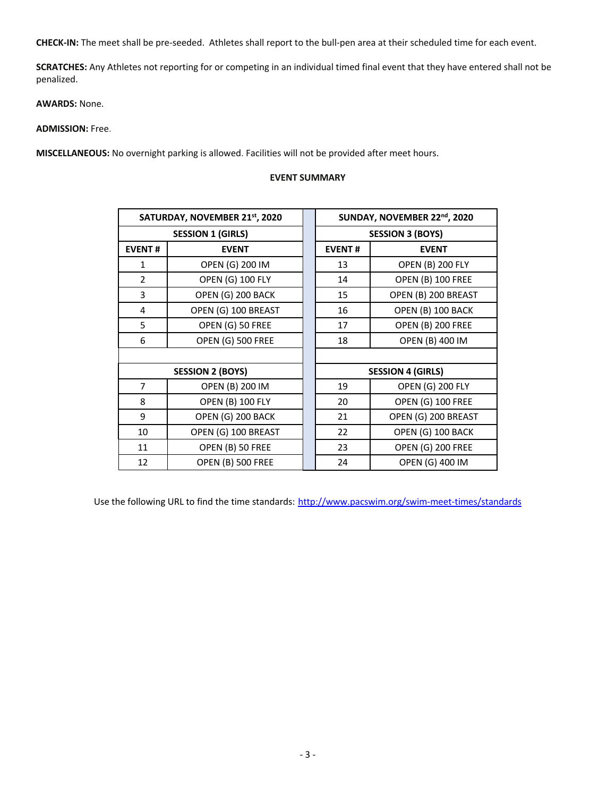**CHECK-IN:** The meet shall be pre-seeded. Athletes shall report to the bull-pen area at their scheduled time for each event.

**SCRATCHES:** Any Athletes not reporting for or competing in an individual timed final event that they have entered shall not be penalized.

**AWARDS:** None.

**ADMISSION:** Free.

**MISCELLANEOUS:** No overnight parking is allowed. Facilities will not be provided after meet hours.

## **EVENT SUMMARY**

|                | SATURDAY, NOVEMBER 21 <sup>st</sup> , 2020 | SUNDAY, NOVEMBER 22nd, 2020 |                         |  |  |  |
|----------------|--------------------------------------------|-----------------------------|-------------------------|--|--|--|
|                | <b>SESSION 1 (GIRLS)</b>                   | <b>SESSION 3 (BOYS)</b>     |                         |  |  |  |
| <b>EVENT#</b>  | <b>EVENT</b>                               | <b>EVENT#</b>               | <b>EVENT</b>            |  |  |  |
| $\mathbf{1}$   | OPEN (G) 200 IM                            | 13                          | <b>OPEN (B) 200 FLY</b> |  |  |  |
| $\overline{2}$ | <b>OPEN (G) 100 FLY</b>                    | 14                          | OPEN (B) 100 FREE       |  |  |  |
| 3              | OPEN (G) 200 BACK                          | 15                          | OPEN (B) 200 BREAST     |  |  |  |
| 4              | OPEN (G) 100 BREAST                        | 16                          | OPEN (B) 100 BACK       |  |  |  |
| 5              | OPEN (G) 50 FREE                           | 17                          | OPEN (B) 200 FREE       |  |  |  |
| 6              | OPEN (G) 500 FREE                          | 18                          | OPEN (B) 400 IM         |  |  |  |
|                |                                            |                             |                         |  |  |  |
|                | <b>SESSION 2 (BOYS)</b>                    | <b>SESSION 4 (GIRLS)</b>    |                         |  |  |  |
| $\overline{7}$ | OPEN (B) 200 IM                            | 19                          | <b>OPEN (G) 200 FLY</b> |  |  |  |
| 8              | <b>OPEN (B) 100 FLY</b>                    | 20                          | OPEN (G) 100 FREE       |  |  |  |
| 9              | OPEN (G) 200 BACK                          | 21                          | OPEN (G) 200 BREAST     |  |  |  |
| 10             | OPEN (G) 100 BREAST                        | 22                          | OPEN (G) 100 BACK       |  |  |  |
| 11             | OPEN (B) 50 FREE                           | 23                          | OPEN (G) 200 FREE       |  |  |  |
| 12             | <b>OPEN (B) 500 FREE</b>                   | 24                          | OPEN (G) 400 IM         |  |  |  |

Use the following URL to find the time standards: http://www.pacswim.org/swim-meet-times/standards